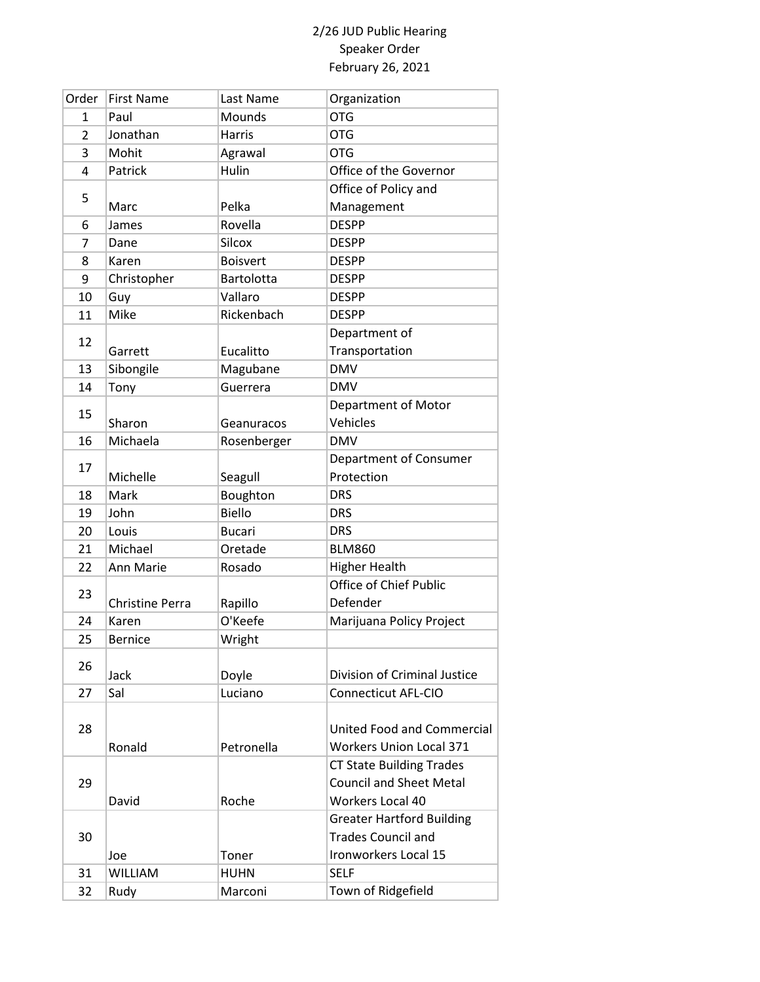| Order | <b>First Name</b>      | Last Name       | Organization                     |
|-------|------------------------|-----------------|----------------------------------|
| 1     | Paul                   | Mounds          | <b>OTG</b>                       |
| 2     | Jonathan               | <b>Harris</b>   | <b>OTG</b>                       |
| 3     | Mohit                  | Agrawal         | <b>OTG</b>                       |
| 4     | Patrick                | Hulin           | Office of the Governor           |
|       |                        |                 | Office of Policy and             |
| 5     | Marc                   | Pelka           | Management                       |
| 6     | James                  | Rovella         | <b>DESPP</b>                     |
| 7     | Dane                   | <b>Silcox</b>   | <b>DESPP</b>                     |
| 8     | Karen                  | <b>Boisvert</b> | <b>DESPP</b>                     |
| 9     | Christopher            | Bartolotta      | <b>DESPP</b>                     |
| 10    | Guy                    | Vallaro         | <b>DESPP</b>                     |
| 11    | Mike                   | Rickenbach      | <b>DESPP</b>                     |
|       |                        |                 | Department of                    |
| 12    | Garrett                | Eucalitto       | Transportation                   |
| 13    | Sibongile              | Magubane        | <b>DMV</b>                       |
| 14    | Tony                   | Guerrera        | <b>DMV</b>                       |
|       |                        |                 | <b>Department of Motor</b>       |
| 15    | Sharon                 | Geanuracos      | Vehicles                         |
| 16    | Michaela               | Rosenberger     | <b>DMV</b>                       |
|       |                        |                 | Department of Consumer           |
| 17    | Michelle               | Seagull         | Protection                       |
| 18    | Mark                   | Boughton        | <b>DRS</b>                       |
| 19    | John                   | <b>Biello</b>   | <b>DRS</b>                       |
| 20    | Louis                  | <b>Bucari</b>   | <b>DRS</b>                       |
| 21    | Michael                | Oretade         | <b>BLM860</b>                    |
| 22    | Ann Marie              | Rosado          | <b>Higher Health</b>             |
|       |                        |                 | Office of Chief Public           |
| 23    | <b>Christine Perra</b> | Rapillo         | Defender                         |
| 24    | Karen                  | O'Keefe         | Marijuana Policy Project         |
| 25    | <b>Bernice</b>         | Wright          |                                  |
| 26    |                        |                 |                                  |
|       | Jack                   | Doyle           | Division of Criminal Justice     |
| 27    | Sal                    | Luciano         | <b>Connecticut AFL-CIO</b>       |
|       |                        |                 |                                  |
| 28    |                        |                 | United Food and Commercial       |
|       | Ronald                 | Petronella      | <b>Workers Union Local 371</b>   |
|       |                        |                 | <b>CT State Building Trades</b>  |
| 29    |                        |                 | <b>Council and Sheet Metal</b>   |
|       | David                  | Roche           | Workers Local 40                 |
|       |                        |                 | <b>Greater Hartford Building</b> |
| 30    |                        |                 | <b>Trades Council and</b>        |
|       | Joe                    | Toner           | Ironworkers Local 15             |
| 31    | <b>WILLIAM</b>         | <b>HUHN</b>     | <b>SELF</b>                      |
| 32    | Rudy                   | Marconi         | Town of Ridgefield               |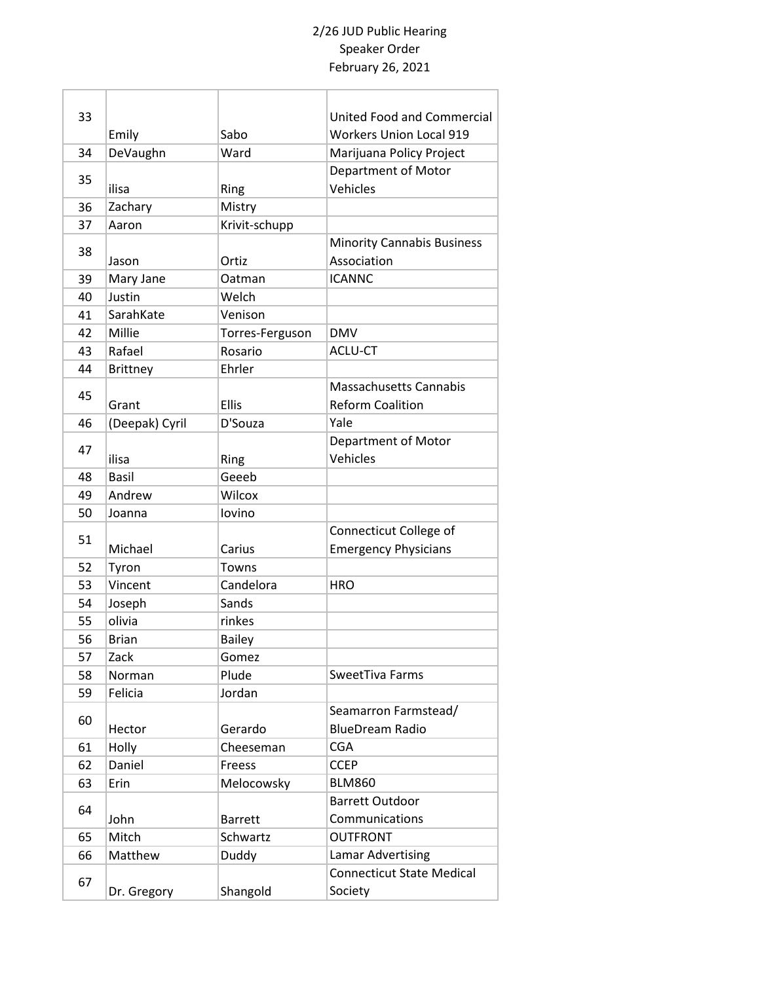| 33 |                 |                 | United Food and Commercial        |
|----|-----------------|-----------------|-----------------------------------|
|    | Emily           | Sabo            | <b>Workers Union Local 919</b>    |
| 34 | DeVaughn        | Ward            | Marijuana Policy Project          |
|    |                 |                 | Department of Motor               |
| 35 | ilisa           | Ring            | Vehicles                          |
| 36 | Zachary         | Mistry          |                                   |
| 37 | Aaron           | Krivit-schupp   |                                   |
|    |                 |                 | <b>Minority Cannabis Business</b> |
| 38 | Jason           | Ortiz           | Association                       |
| 39 | Mary Jane       | Oatman          | <b>ICANNC</b>                     |
| 40 | Justin          | Welch           |                                   |
| 41 | SarahKate       | Venison         |                                   |
| 42 | Millie          | Torres-Ferguson | <b>DMV</b>                        |
| 43 | Rafael          | Rosario         | <b>ACLU-CT</b>                    |
| 44 | <b>Brittney</b> | Ehrler          |                                   |
|    |                 |                 | <b>Massachusetts Cannabis</b>     |
| 45 | Grant           | <b>Ellis</b>    | <b>Reform Coalition</b>           |
| 46 | (Deepak) Cyril  | D'Souza         | Yale                              |
|    |                 |                 | Department of Motor               |
| 47 | ilisa           | Ring            | Vehicles                          |
| 48 | <b>Basil</b>    | Geeeb           |                                   |
| 49 | Andrew          | Wilcox          |                                   |
| 50 | Joanna          | lovino          |                                   |
|    |                 |                 | Connecticut College of            |
| 51 | Michael         | Carius          | <b>Emergency Physicians</b>       |
| 52 | Tyron           | Towns           |                                   |
| 53 | Vincent         | Candelora       | <b>HRO</b>                        |
| 54 | Joseph          | Sands           |                                   |
| 55 | olivia          | rinkes          |                                   |
| 56 | Brian           | <b>Bailey</b>   |                                   |
| 57 | Zack            | Gomez           |                                   |
| 58 | Norman          | Plude           | SweetTiva Farms                   |
| 59 | Felicia         | Jordan          |                                   |
| 60 |                 |                 | Seamarron Farmstead/              |
|    | Hector          | Gerardo         | <b>BlueDream Radio</b>            |
| 61 | Holly           | Cheeseman       | <b>CGA</b>                        |
| 62 | Daniel          | <b>Freess</b>   | <b>CCEP</b>                       |
| 63 | Erin            | Melocowsky      | <b>BLM860</b>                     |
| 64 |                 |                 | <b>Barrett Outdoor</b>            |
|    | John            | <b>Barrett</b>  | Communications                    |
| 65 | Mitch           | Schwartz        | <b>OUTFRONT</b>                   |
| 66 | Matthew         | Duddy           | <b>Lamar Advertising</b>          |
| 67 |                 |                 | <b>Connecticut State Medical</b>  |
|    | Dr. Gregory     | Shangold        | Society                           |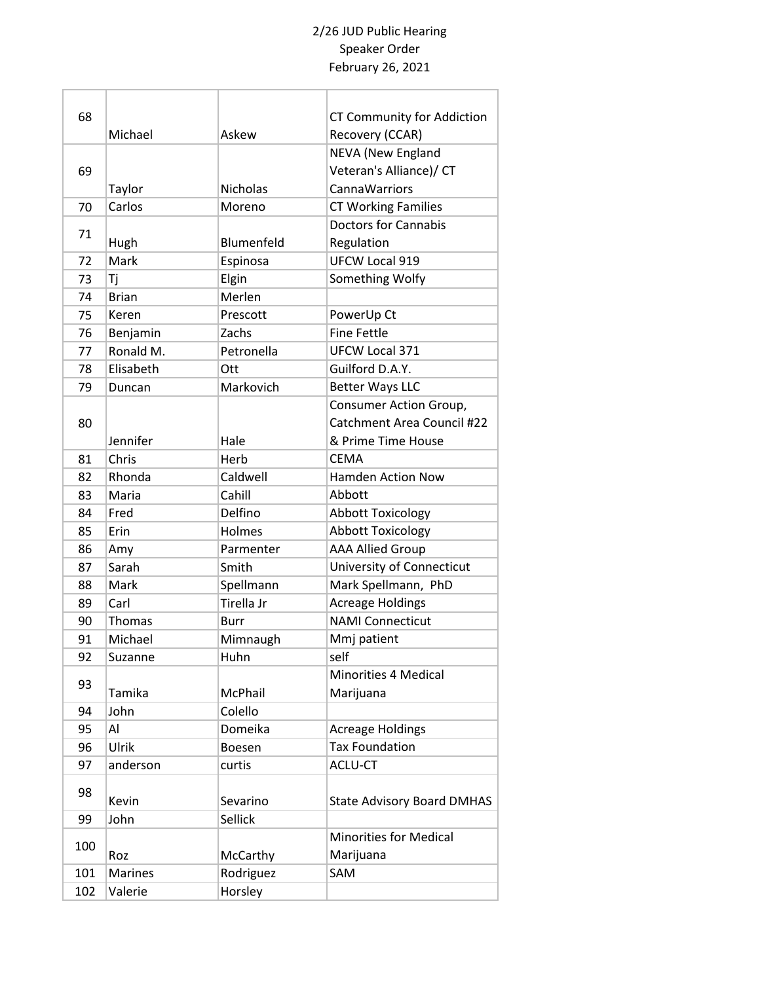| 68  |                |                 | <b>CT Community for Addiction</b> |
|-----|----------------|-----------------|-----------------------------------|
|     | Michael        | Askew           | Recovery (CCAR)                   |
|     |                |                 | <b>NEVA (New England</b>          |
| 69  |                |                 | Veteran's Alliance)/ CT           |
|     | Taylor         | <b>Nicholas</b> | CannaWarriors                     |
| 70  | Carlos         | Moreno          | <b>CT Working Families</b>        |
| 71  |                |                 | <b>Doctors for Cannabis</b>       |
|     | Hugh           | Blumenfeld      | Regulation                        |
| 72  | Mark           | Espinosa        | <b>UFCW Local 919</b>             |
| 73  | Τj             | Elgin           | Something Wolfy                   |
| 74  | <b>Brian</b>   | Merlen          |                                   |
| 75  | Keren          | Prescott        | PowerUp Ct                        |
| 76  | Benjamin       | Zachs           | <b>Fine Fettle</b>                |
| 77  | Ronald M.      | Petronella      | <b>UFCW Local 371</b>             |
| 78  | Elisabeth      | Ott             | Guilford D.A.Y.                   |
| 79  | Duncan         | Markovich       | <b>Better Ways LLC</b>            |
|     |                |                 | Consumer Action Group,            |
| 80  |                |                 | Catchment Area Council #22        |
|     | Jennifer       | Hale            | & Prime Time House                |
| 81  | Chris          | Herb            | <b>CEMA</b>                       |
| 82  | Rhonda         | Caldwell        | <b>Hamden Action Now</b>          |
| 83  | Maria          | Cahill          | Abbott                            |
| 84  | Fred           | Delfino         | <b>Abbott Toxicology</b>          |
| 85  | Erin           | Holmes          | <b>Abbott Toxicology</b>          |
| 86  | Amy            | Parmenter       | <b>AAA Allied Group</b>           |
| 87  | Sarah          | Smith           | University of Connecticut         |
| 88  | Mark           | Spellmann       | Mark Spellmann, PhD               |
| 89  | Carl           | Tirella Jr      | <b>Acreage Holdings</b>           |
| 90  | Thomas         | Burr            | <b>NAMI Connecticut</b>           |
| 91  | Michael        | Mimnaugh        | Mmj patient                       |
| 92  | Suzanne        | Huhn            | self                              |
| 93  |                |                 | <b>Minorities 4 Medical</b>       |
|     | Tamika         | McPhail         | Marijuana                         |
| 94  | John           | Colello         |                                   |
| 95  | Al             | Domeika         | <b>Acreage Holdings</b>           |
| 96  | Ulrik          | Boesen          | <b>Tax Foundation</b>             |
| 97  | anderson       | curtis          | ACLU-CT                           |
|     |                |                 |                                   |
| 98  | Kevin          | Sevarino        | <b>State Advisory Board DMHAS</b> |
| 99  | John           | Sellick         |                                   |
|     |                |                 | <b>Minorities for Medical</b>     |
| 100 | Roz            | McCarthy        | Marijuana                         |
| 101 | <b>Marines</b> | Rodriguez       | SAM                               |
| 102 | Valerie        | Horsley         |                                   |
|     |                |                 |                                   |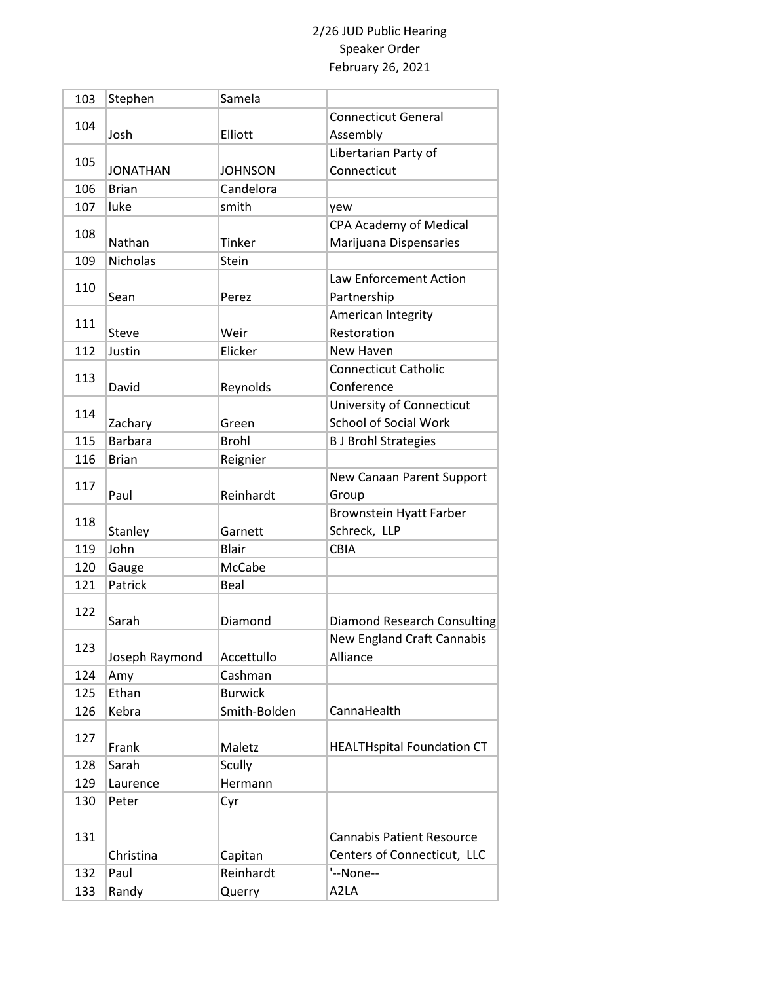| 103 | Stephen         | Samela         |                                    |
|-----|-----------------|----------------|------------------------------------|
|     |                 |                | <b>Connecticut General</b>         |
| 104 | Josh            | Elliott        | Assembly                           |
|     |                 |                | Libertarian Party of               |
| 105 | <b>JONATHAN</b> | <b>JOHNSON</b> | Connecticut                        |
| 106 | <b>Brian</b>    | Candelora      |                                    |
| 107 | luke            | smith          | yew                                |
|     |                 |                | <b>CPA Academy of Medical</b>      |
| 108 | Nathan          | Tinker         | Marijuana Dispensaries             |
| 109 | <b>Nicholas</b> | Stein          |                                    |
|     |                 |                | Law Enforcement Action             |
| 110 | Sean            | Perez          | Partnership                        |
|     |                 |                | American Integrity                 |
| 111 | <b>Steve</b>    | Weir           | Restoration                        |
| 112 | Justin          | Elicker        | New Haven                          |
|     |                 |                | <b>Connecticut Catholic</b>        |
| 113 | David           | Reynolds       | Conference                         |
|     |                 |                | University of Connecticut          |
| 114 | Zachary         | Green          | <b>School of Social Work</b>       |
| 115 | <b>Barbara</b>  | <b>Brohl</b>   | <b>B J Brohl Strategies</b>        |
| 116 | <b>Brian</b>    | Reignier       |                                    |
|     |                 |                | New Canaan Parent Support          |
| 117 | Paul            | Reinhardt      | Group                              |
|     |                 |                | <b>Brownstein Hyatt Farber</b>     |
| 118 | Stanley         | Garnett        | Schreck, LLP                       |
| 119 | John            | <b>Blair</b>   | <b>CBIA</b>                        |
| 120 | Gauge           | McCabe         |                                    |
| 121 | Patrick         | Beal           |                                    |
|     |                 |                |                                    |
| 122 | Sarah           | Diamond        | <b>Diamond Research Consulting</b> |
|     |                 |                | <b>New England Craft Cannabis</b>  |
| 123 | Joseph Raymond  | Accettullo     | Alliance                           |
| 124 | Amy             | Cashman        |                                    |
| 125 | Ethan           | <b>Burwick</b> |                                    |
| 126 | Kebra           | Smith-Bolden   | CannaHealth                        |
|     |                 |                |                                    |
| 127 | Frank           | Maletz         | <b>HEALTHspital Foundation CT</b>  |
| 128 | Sarah           | Scully         |                                    |
| 129 | Laurence        | Hermann        |                                    |
| 130 | Peter           | Cyr            |                                    |
|     |                 |                |                                    |
| 131 |                 |                | <b>Cannabis Patient Resource</b>   |
|     | Christina       | Capitan        | Centers of Connecticut, LLC        |
| 132 | Paul            | Reinhardt      | '--None--                          |
| 133 | Randy           | Querry         | A2LA                               |
|     |                 |                |                                    |